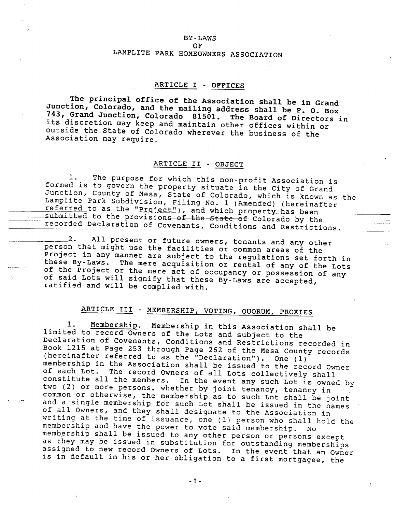#### **BY-LAWS**

#### OF

## LAMPLITE PARK HOMEOWNERS ASSOCIATION

# ARTICLE I - OFFICES

The principal office of the Association shall be in Grand Junction, Colorado, and the mailing address shall be P. O. Box 743, Grand Junction, Colorado 81501. The Board of Directors in its discretion may keep and maintain other offices within or outside the State of Colorado wherever the business of the Association may require.

## ARTICLE II - OBJECT

The purpose for which this non-profit Association is  $1.$ formed is to govern the property situate in the City of Grand Junction, County of Mesa, State of Colorado, which is known as the Lamplite Park Subdivision, Filing No. 1 (Amended) (hereinafter referred to as the "Project"), and which property has been submitted to the provisions of the State of Colorado by the recorded Declaration of Covenants, Conditions and Restrictions.

All present or future owners, tenants and any other  $-2$  . person that might use the facilities or common areas of the Project in any manner are subject to the regulations set forth in these By-Laws. The mere acquisition or rental of any of the Lots of the Project or the mere act of occupancy or possession of any of said Lots will signify that these By-Laws are accepted, ratified and will be complied with.

# ARTICLE III - MEMBERSHIP, VOTING, QUORUM, PROXIES

Membership. Membership in this Association shall be 1. limited to record Owners of the Lots and subject to the Declaration of Covenants, Conditions and Restrictions recorded in Book 1215 at Page 253 through Page 262 of the Mesa County records (hereinafter referred to as the "Declaration"). One (1) membership in the Association shall be issued to the record Owner of each Lot. The record Owners of all Lots collectively shall constitute all the members. In the event any such Lot is owned by two (2) or more persons, whether by joint tenancy, tenancy in common or otherwise, the membership as to such Lot shall be joint and a single membership for such Lot shall be issued in the names of all Owners, and they shall designate to the Association in writing at the time of issuance, one (1) person who shall hold the membership and have the power to vote said membership. No membership shall be issued to any other person or persons except as they may be issued in substitution for outstanding memberships assigned to new record Owners of Lots. In the event that an Owner is in default in his or her obligation to a first mortgagee, the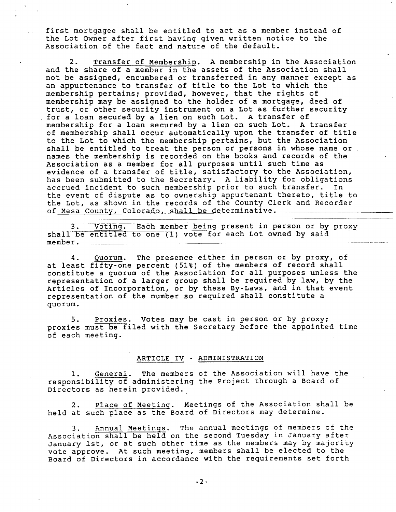first mortgagee shall be entitled to act as a member instead of the Lot Owner after first having given written notice to the Association of the fact and nature of the default.

2. Transfer of Mernbership. A membership in the Association and the share of a member in the assets of the Association shall not be assigned, encumbered or transferred in any manner except as an appurtenance to transfer of title to the Lot to which the membership pertains; provided, however, that the rights of membership may be assigned to the holder of a mortgage, deed of trust, or other security instrument on a Lot as further security for a loan secured by a lien on such Lot. A transfer of membership for a loan secured by a lien on such Lot. A transfer of membership shall occur automatically upon the transfer of title to the Lot to which the membership pertains, but the Association shal1 be entitled to treat the person or persons in whose name or names the membership is recorded on the books and records of the Association as a member for all purposes until such time as evidence of a transfer of title, satisfactory to the Association, has been submitted to the Secretary. A liability for obligations accrued incident to such membership prior to such transfer. In the event of dispute as to ownership appurtenant thereto, title to the Lot, as shown in the records of the County Clerk and Recorder of Mesa County, Colorado, shall be determinative.

3. Voting. Each member being present in person or by proxy shall be entitled to one (1) vote for each Lot owned by said membe r .

4. Ouorum. The presence either in person or by proxy, of at least fifty-one percent (51%) of the members of record shall constitute a quorum of the Association for all purposes unless the representation of a larger group shall be required by law, by the Articles of Incorporation, or by these By-Laws, and in that event representation of the number so required shall constitute a quo rum.

5. Proxies. Votes may be cast in person or by proxy; proxies must be filed with the Secretary before the appointed time of each meeting

#### ARTICLE IV - ADMINISTRATION

1. <u>General</u>. The members of the Association will have t<br>responsibility of administering the Project through a Board of Directors as herein provided. General. The members of the Association will have the

2. Place of Meeting. Meetings of the Association shall be held at such place as the Board of Directors may determine.

3. Annual Meetings. The annual meetings of members of the Association shall be held on the second Tuesday in January after January 1st, or at such other time as the members may by majority vote approve. At such meeting, members shall be elected to the Board of Directors in accordance with the requirements set forth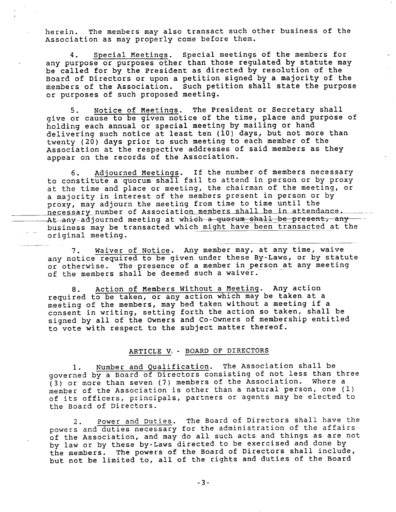herein. The members may also transact such other business of the Association as may properly come before them.

4. Special Meetings. Special meetings of the members for any purpose or purposes other than those regulated by statute may be called for by the President as directed by resolution of the Board of Directors or upon a petition signed by a majority of the members of the Association. Such petition shall state the purpose or purposes of such proposed meeting.

5. Notice of Meetings. The President or Secretary shall give or cause to be given notice of the time, place and purpose of holding each annual or special meeting by mailing or hand delivering such notice at least ten (10) days, but not more than twenty (20) days prior to such meeting to each member of the Association at the respective addresses of said members as they appear on the records of the Association.

6. Adjourned Meetings. If the number of members necessary to constitute a quorun shall fail to attend in person or by proxy at the time and place or meeting, the chairman of the meeting, or a majority in interest of the members present in person or by proxy, may adjourn the meeting from time to time until the necessary number of Association members shall be in attendance. At any adjourned meeting at which a quorum shall be present, any business may be transacted which might have been transacted at the original meeting.

7. Waiver of Notice. Any member may, dt any time, waive any notice required to be given under these By-Laws, or by statute or otherwise. The presence of a member in person at any meeting of the members shall be deemed such a waiver.

8. Action of Members Without a Meeting. Any action required to be taken, or any action which may be taken at a meeting of the members, nay bed taken without a meeting if <sup>a</sup> consent in writing, setting forth the action so taken, shall be signed by all of the Owners and Co-Owners of membership entitled to vote with respect to the subject matter thereof.

#### ARTICLE V, . BOARD OE DIRECTORS

Number and Qualification. The Association shall be governed by a Board of Directors consisting of not less than three  $(3)$  or more than seven (7) members of the Association. Where a member of the Association is other than a natural person, one (1) of its officers, principals, partners or agents may be elected to the Board of Directors.

2. Power and Duties. The Board of Directors shall have the powers and duties necessary for the administration of the affairs<br>of the Association, and may do all such acts and things as are not by 1aw or by these by-t,aws directed to be exercised and done by the members. The powers of the Board of Directors shall include, but not be limited to, all of the rights and duties of the Board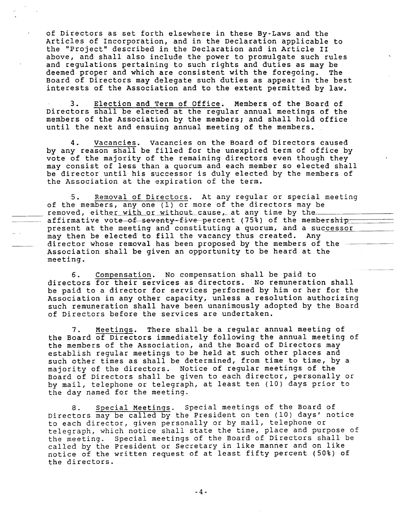of Directors as set forth elsewhere in these By-Laws and the Articles of Incorporation, and in the Declaration applicable to the "Project" described in the Declaration and in Article II above, and shall also include the power to promulgate such rules and regulations pertaining to such rights and duties as may be deemed proper and which are consistent with the foregoing. The Board of Directors may delegate such duties as appear in the best interests of the Association and to the extent permitted by law.

Election and Term of Office. Members of the Board of з. Directors shall be elected at the regular annual meetings of the members of the Association by the members; and shall hold office until the next and ensuing annual meeting of the members.

Vacancies. Vacancies on the Board of Directors caused 4. by any reason shall be filled for the unexpired term of office by vote of the majority of the remaining directors even though they may consist of less than a quorum and each member so elected shall be director until his successor is duly elected by the members of the Association at the expiration of the term.

Removal of Directors. At any regular or special meeting 5. of the members, any one (1) or more of the directors may be removed, either with or without cause, at any time by the affirmative vote of seventy-five percent (75%) of the membership present at the meeting and constituting a quorum, and a successor may then be elected to fill the vacancy thus created. Any director whose removal has been proposed by the members of the Association shall be given an opportunity to be heard at the meeting.

Compensation. No compensation shall be paid to 6. directors for their services as directors. No remuneration shall be paid to a director for services performed by him or her for the Association in any other capacity, unless a resolution authorizing such remuneration shall have been unanimously adopted by the Board of Directors before the services are undertaken.

Meetings. There shall be a regular annual meeting of  $7.$ the Board of Directors immediately following the annual meeting of the members of the Association, and the Board of Directors may establish reqular meetings to be held at such other places and such other times as shall be determined, from time to time, by a majority of the directors. Notice of regular meetings of the Board of Directors shall be given to each director, personally or by mail, telephone or telegraph, at least ten (10) days prior to the day named for the meeting.

Special Meetings. Special meetings of the Board of Directors may be called by the President on ten (10) days' notice to each director, given personally or by mail, telephone or telegraph, which notice shall state the time, place and purpose of Special meetings of the Board of Directors shall be the meeting. called by the President or Secretary in like manner and on like notice of the written request of at least fifty percent (50%) of the directors.

 $-4-$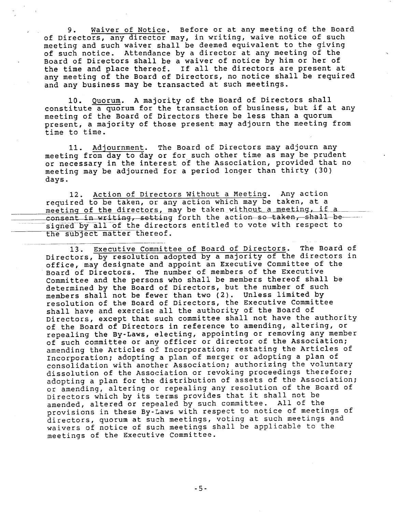9. Waiver of Notice. Before or at any meeting of the Board of Directors, any director may, in writing, waive notice of such meeting and such waiver shall be deemed equivalent to the giving of such notice. Attendance by a director at any meeting of the Board of Directors shall be a waiver of notice by him or her of the tine and place thereof. If all the directors are present at any meeting of the Board of Directors, no notice sha1l be required and any business may be transacted at such meetings.

10. Quorun. A najority of the Board of Directors shal1 constitute a Quorum for the transaction of business, but if at any meeting of the Board of Directors there be less than a quorum present, a majority of those present may adjourn the meeting from time to time.

11. Adjournment. The Board of Directors may adjourn any meeting from day to day or for such other time as may be prudent or necessary in the interest of the Association, provided that no of hecessary in the increase of the hosostation, provised the<br>meeting may be adjourned for a period longer than thirty (30) days.

12. Action of Directors Without a Meeting. Any action required to be taken, or any action which may be taken, at a meeting of the directors, may be taken without a meeting, if a signed by all of the directors entitled to vote with respect to the subject matter thereof.

13. Executive Committee of Board of Directors. The Board of Directors, by resolution adopted by a majority of the directors in office, may designate and appoint an Executive Committee of the Board of Directors. The number of members of the Executive Committee and the persons who shall be members thereof shall be deternined by the Board of Directors, but the number of such members shall not be fewer than two (2). Unless limited by resolution of the Board of Directors, the Executive Committee sha11 have and exercise all the authority of the Board of Directors, except that such committee shall not have the authority of the Board of Oirectors in reference to amending, dltering, ot repealing the By-Laws, electing, appointing or removing any member of such committee or any officer or director of the Association; amending the Articles of Incorporation; restating the Articles of Incorporation; adopting a plan of merger or adopting a plan of consolidation with another Association; authorizing the voluntary dissolution of the Association or revoking proceedings therefore; adopting a plan for the distribution of assets of the Association; or amending, altering or repealing any resolution of the Board of Directors which by its terms provides that it shall not be amended, altered or repealed by such committee. All of the provisions in these By-Laws with respect to notice of meetings of directors, quorum at such meetings, voting at such meetings and waivers of notice of such meetings shall be applicable to the meetings of the Executive Committee.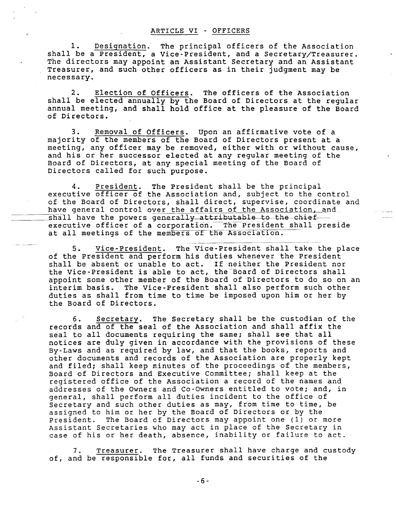1. Desiqnation. The principal officers of the Association shall be a President, a Vice-President, and a Secretary/Treasurer. The directors may appoint an Assistant Secretary and an Assistant Treasurer, and such other officers as in their judgment may be necessary.

2. Election of Officers. The officers of the Association shall be elected annually by the Board of Directors at the regular annual meeting, and shall hold office at the pleasure of the Board<br>of Directors.

3. Removal of Officers. Upon an affirmative vote of a majority of the members of the Board of Directors present at a meeting, any officer may be removed, either with or without cause,<br>and his or her successor elected at any regular meeting of the Board of Directors, at any special meeting of the Board of Directors called for such purpose.

4. President. The President shall be the principal executive officer of the Association and, subject to the control of the Board of Directors, sha1l direct, supervise, coordinate and have general control over the affairs of the Association, and<br>shall have the powers generally attributable to the chief executive officer of a corporation. The President shall preside at all meetings of the members of the Association.

5. Vice-President. The Vice-President shal1 take the place of the President and perform his duties whenever the President sha1l be absent or unable to act. If neither the president nor the Vice-President is able to act, the Board of Directors shall appoint some other member of the Board of Directors to do so on an interim basis. The Vice-President shaIl also perform such other duties as shall from time to time be imposed upon hin or her by the Board of Directors.

6. Secretary. The Secretary shall be the custodian of the records and of the seal of the Association and shall affix the seal to all documents requiring the same; shall see that all notices are duly given in accordance with the provisions of these By-Laws and as required. by Iaw, and that the books, reports and other documents and records of the Association are properly kept and filed; shall keep minutes of the proceedings of the members,<br>Board of Directors and Executive Committee; shall keep at the registered office of the Association a record of the names and addresses of the Owners and Co-Owners entitled to vote; and, in general, shall perform all duties incident to the office of Secretary and such other duties as may, from time to time, be assigned to him or her by the Board of Directors or by the President. The Board of Directors may appoint one (1) or more Assistant Secretaries who may act in place of the Secretary in case of his or her death, absence, inability or failure to act.

7. Treasurer. The Treasurer shall have charge and custody of, and be responsible for, all funds and securities of the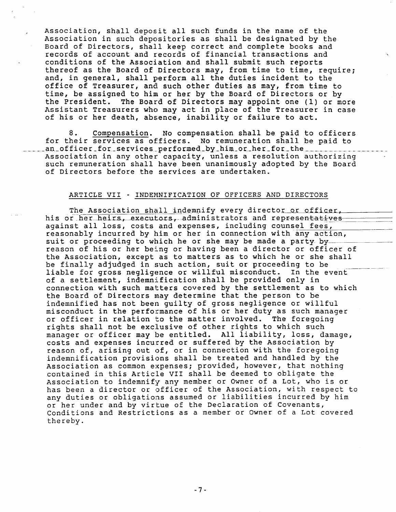Association, shall deposit all such funds in the name of the<br>Association in such depositories as shall be designated by the Board of Directors, shall keep correct and complete books and records of account and records of financial transactions and conditions of the Association and shall submit such reports thereof as the Board of Directors may, from time to time, require; and, in general, shall perform all the duties incident to the office of Treasurer, and such other duties as may, from time to time, be assigned to him or her by the Board of Directors or by<br>the President. The Board of Directors may appoint one (1) or more Assistant Treasurers who may act in place of the Treasurer in case<br>of his or her death, absence, inability or failure to act.

8. Compensation. No compensation shall be paid to officers for their services as officers. No remuneration shall be paid to an officer for services performed by him or her for the Association in any other: capacity, unless a resolution authorizing such remuneration shall have been unanimously adopted by the Board of Directors before the services are undertaken.

#### ARTICLE VII - INDEMNIFICATION OF OFFICERS AND DIRECTORS

The Association shall indemnify every director or officer, his or her heirs, executors, administrators and representatives against all loss, costs and expenses, including counsel fees, reasonably incurred by him or her in connection with any action, suit or proceeding to which he or she may be made a party by... reason of his or her being or having been a director or officer of roubon of mis of not boang of naving boon a director of christic of be finally adjudged in such action, suit or proceeding to be liable for gross negligence or willful misconduct. In the event of a settlement, indemnification shall be provided only in connection with such matters covered by the settlement as to which the Board of Directors may determine that the person to be indemnified has not been guilty of gross negligence or willful misconduct in the performance of his or her duty as such manager or officer in relation to the matter involved. The foregoing rights shall not be exclusive of other rights to which such manager or officer nay be entitled. All liability, Ioss, damage, costs and expenses incurred or suffered by the Association by reason of, arising out of, or in connection with the foregoing indemnification provisions shall be treated and handled by the Association as common expenses; provided, however, that nothing contained in this Article VII sha1l be deened to obligate the Association to indemnify any member or Owner of a Lot, who is or has been a director or officer of the Association, with respect to any duties or obligations assumed or liabilities incurred by him or her under and by virtue of the Declaration of Covenants, Conditions and Restrictions as a member or Owner of a Lot covered the reby.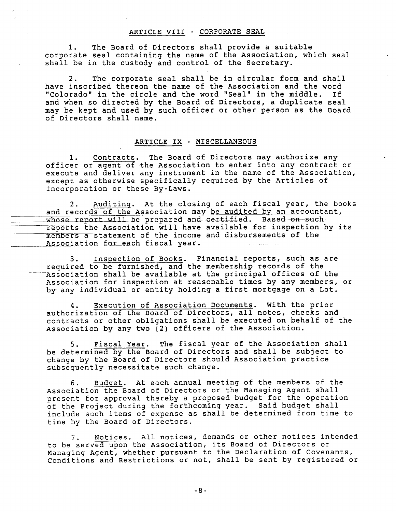### ARTICLE VIII - CORPORATE SEAL

The Board of Directors shall provide a suitable 1. corporate seal containing the name of the Association, which seal shall be in the custody and control of the Secretary.

The corporate seal shall be in circular form and shall  $2.$ have inscribed thereon the name of the Association and the word "Colorado" in the circle and the word "Seal" in the middle. If and when so directed by the Board of Directors, a duplicate seal may be kept and used by such officer or other person as the Board of Directors shall name.

#### ARTICLE IX - MISCELLANEOUS

Contracts. The Board of Directors may authorize any  $1$ . officer or agent of the Association to enter into any contract or execute and deliver any instrument in the name of the Association, except as otherwise specifically required by the Articles of Incorporation or these By-Laws.

Auditing. At the closing of each fiscal year, the books 2. and records of the Association may be audited by an accountant, whose report will be prepared and certified. Based on such reports the Association will have available for inspection by its members a statement of the income and disbursements of the Association for each fiscal year.

Inspection of Books. Financial reports, such as are  $3.$ required to be furnished, and the membership records of the Association shall be available at the principal offices of the Association for inspection at reasonable times by any members, or by any individual or entity holding a first mortgage on a Lot.

Execution of Association Documents. With the prior 4. authorization of the Board of Directors, all notes, checks and contracts or other obligations shall be executed on behalf of the Association by any two (2) officers of the Association.

Fiscal Year. The fiscal year of the Association shall 5. be determined by the Board of Directors and shall be subject to change by the Board of Directors should Association practice subsequently necessitate such change.

Budget. At each annual meeting of the members of the  $6.$ Association the Board of Directors or the Managing Agent shall present for approval thereby a proposed budget for the operation of the Project during the forthcoming year. Said budget shall include such items of expense as shall be determined from time to time by the Board of Directors.

Notices. All notices, demands or other notices intended  $7.$ to be served upon the Association, its Board of Directors or Managing Agent, whether pursuant to the Declaration of Covenants, Conditions and Restrictions or not, shall be sent by registered or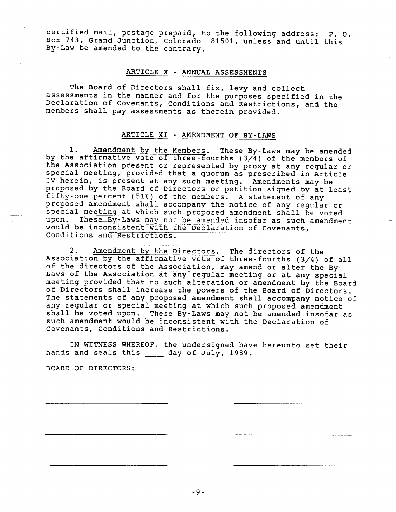certified mail, postage prepaid, to the following address: P. O. Box 743, Grand Junction, Colorado 81501, unless and until this By-Law be amended to the contrary.

#### ARTICLE <sup>X</sup> . ANNUAL ASSESSMENTS

The Board of Directors shall fix, levy and collect assessments in the manner and for the purposes specified in the Declaration of Covenants, Conditions and Restrictions, and the members shall pay assessments as therein provided.

### ARTICLE XI - AMENDMENT OF BY-LAWS

1. Amendment by the Members. These By-Laws may be amended<br>by the affirmative vote of three-fourths (3/4) of the members of<br>the Association present or represented by proxy at any regular or<br>special meeting, provided that a proposed by the Board of Directors or petition signed by at least<br>fifty-one percent (51%) of the members. A statement of any<br>proposed amendment shall accompany the notice of any regular or<br>special meeting at which such pro upon. These By-Laws may not be amended insofar-as such amendment<br>would be inconsistent with the Declaration of Covenants, Conditions and Restrictions.

2. Amendment by the Directors. The directors of the<br>Association by the affirmative vote of three-fourths (3/4) of all<br>of the directors of the Association, may amend or alter the By-<br>Laws of the Association at any regular m The statements of any proposed amendment shall acconpany notice of any regular or special meeting at which such proposed amendment<br>shall be voted upon. These By-Laws may not be amended insofar as<br>such amendment would be inconsistent with the Declaration of<br>Covenants, Conditions and Restri

IN WITNESS WHEREOF, the undersigned have hereunto set their hands and seals this \_\_\_\_\_ day of July, 1989.

BOARD OF DIRECTORS: